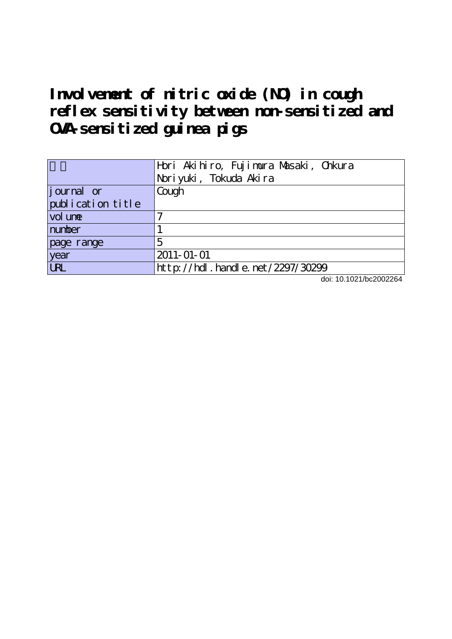I nvolvement of nitric oxide (NO) in cough **reflex sensitivity between non-sensitized and OVA-sensitized guinea pigs**

|                   | Hori Akihiro, Fujimura Masaki, Chkura<br>Noriyuki, Tokuda Akira |
|-------------------|-----------------------------------------------------------------|
| journal or        | Cough                                                           |
| publication title |                                                                 |
| vol une           |                                                                 |
| number            |                                                                 |
| page range        | 5                                                               |
| year              | $2011 - 01 - 01$                                                |
| <b>URL</b>        | http://hdl.handle.net/2297/30299                                |

doi: 10.1021/bc2002264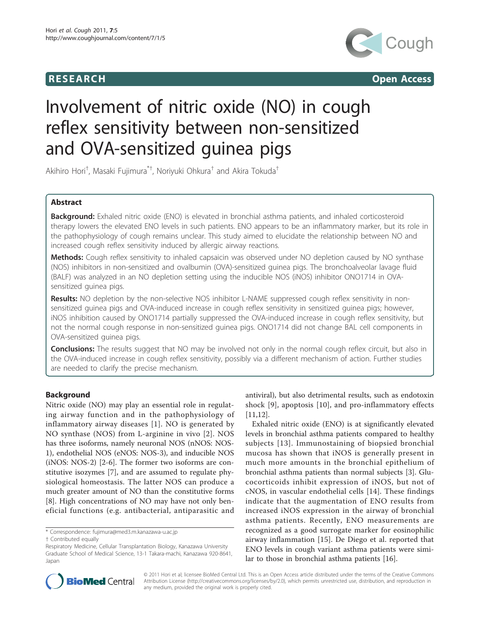



# Involvement of nitric oxide (NO) in cough reflex sensitivity between non-sensitized and OVA-sensitized guinea pigs

Akihiro Hori<sup>†</sup>, Masaki Fujimura<sup>\*†</sup>, Noriyuki Ohkura<sup>†</sup> and Akira Tokuda<sup>†</sup>

# Abstract

Background: Exhaled nitric oxide (ENO) is elevated in bronchial asthma patients, and inhaled corticosteroid therapy lowers the elevated ENO levels in such patients. ENO appears to be an inflammatory marker, but its role in the pathophysiology of cough remains unclear. This study aimed to elucidate the relationship between NO and increased cough reflex sensitivity induced by allergic airway reactions.

Methods: Cough reflex sensitivity to inhaled capsaicin was observed under NO depletion caused by NO synthase (NOS) inhibitors in non-sensitized and ovalbumin (OVA)-sensitized guinea pigs. The bronchoalveolar lavage fluid (BALF) was analyzed in an NO depletion setting using the inducible NOS (iNOS) inhibitor ONO1714 in OVAsensitized guinea pigs.

Results: NO depletion by the non-selective NOS inhibitor L-NAME suppressed cough reflex sensitivity in nonsensitized guinea pigs and OVA-induced increase in cough reflex sensitivity in sensitized guinea pigs; however, iNOS inhibition caused by ONO1714 partially suppressed the OVA-induced increase in cough reflex sensitivity, but not the normal cough response in non-sensitized guinea pigs. ONO1714 did not change BAL cell components in OVA-sensitized guinea pigs.

**Conclusions:** The results suggest that NO may be involved not only in the normal cough reflex circuit, but also in the OVA-induced increase in cough reflex sensitivity, possibly via a different mechanism of action. Further studies are needed to clarify the precise mechanism.

# Background

Nitric oxide (NO) may play an essential role in regulating airway function and in the pathophysiology of inflammatory airway diseases [[1](#page-8-0)]. NO is generated by NO synthase (NOS) from L-arginine in vivo [[2\]](#page-8-0). NOS has three isoforms, namely neuronal NOS (nNOS: NOS-1), endothelial NOS (eNOS: NOS-3), and inducible NOS (iNOS: NOS-2) [\[2](#page-8-0)-[6\]](#page-8-0). The former two isoforms are constitutive isozymes [[7\]](#page-8-0), and are assumed to regulate physiological homeostasis. The latter NOS can produce a much greater amount of NO than the constitutive forms [[8\]](#page-8-0). High concentrations of NO may have not only beneficial functions (e.g. antibacterial, antiparasitic and antiviral), but also detrimental results, such as endotoxin shock [[9\]](#page-8-0), apoptosis [[10](#page-8-0)], and pro-inflammatory effects [[11,12\]](#page-8-0).

Exhaled nitric oxide (ENO) is at significantly elevated levels in bronchial asthma patients compared to healthy subjects [[13\]](#page-8-0). Immunostaining of biopsied bronchial mucosa has shown that iNOS is generally present in much more amounts in the bronchial epithelium of bronchial asthma patients than normal subjects [[3](#page-8-0)]. Glucocorticoids inhibit expression of iNOS, but not of cNOS, in vascular endothelial cells [\[14](#page-8-0)]. These findings indicate that the augmentation of ENO results from increased iNOS expression in the airway of bronchial asthma patients. Recently, ENO measurements are recognized as a good surrogate marker for eosinophilic airway inflammation [[15\]](#page-8-0). De Diego et al. reported that ENO levels in cough variant asthma patients were similar to those in bronchial asthma patients [\[16](#page-8-0)].



© 2011 Hori et al; licensee BioMed Central Ltd. This is an Open Access article distributed under the terms of the Creative Commons Attribution License [\(http://creativecommons.org/licenses/by/2.0](http://creativecommons.org/licenses/by/2.0)), which permits unrestricted use, distribution, and reproduction in any medium, provided the original work is properly cited.

<sup>\*</sup> Correspondence: [fujimura@med3.m.kanazawa-u.ac.jp](mailto:fujimura@med3.m.kanazawa-u.ac.jp)

<sup>†</sup> Contributed equally

Respiratory Medicine, Cellular Transplantation Biology, Kanazawa University Graduate School of Medical Science, 13-1 Takara-machi, Kanazawa 920-8641, Japan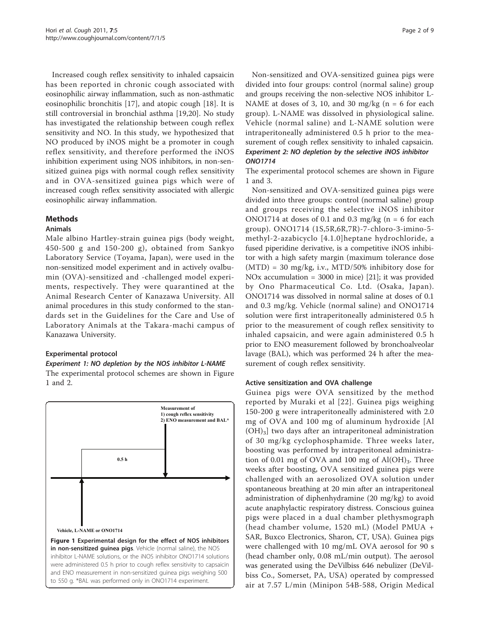Increased cough reflex sensitivity to inhaled capsaicin has been reported in chronic cough associated with eosinophilic airway inflammation, such as non-asthmatic eosinophilic bronchitis [[17\]](#page-8-0), and atopic cough [[18](#page-8-0)]. It is still controversial in bronchial asthma [[19,20\]](#page-8-0). No study has investigated the relationship between cough reflex sensitivity and NO. In this study, we hypothesized that NO produced by iNOS might be a promoter in cough reflex sensitivity, and therefore performed the iNOS inhibition experiment using NOS inhibitors, in non-sensitized guinea pigs with normal cough reflex sensitivity and in OVA-sensitized guinea pigs which were of increased cough reflex sensitivity associated with allergic eosinophilic airway inflammation.

# Methods

#### Animals

Male albino Hartley-strain guinea pigs (body weight, 450-500 g and 150-200 g), obtained from Sankyo Laboratory Service (Toyama, Japan), were used in the non-sensitized model experiment and in actively ovalbumin (OVA)-sensitized and -challenged model experiments, respectively. They were quarantined at the Animal Research Center of Kanazawa University. All animal procedures in this study conformed to the standards set in the Guidelines for the Care and Use of Laboratory Animals at the Takara-machi campus of Kanazawa University.

# Experimental protocol

Experiment 1: NO depletion by the NOS inhibitor L-NAME

The experimental protocol schemes are shown in Figure 1 and [2.](#page-3-0)



Non-sensitized and OVA-sensitized guinea pigs were divided into four groups: control (normal saline) group and groups receiving the non-selective NOS inhibitor L-NAME at doses of 3, 10, and 30 mg/kg ( $n = 6$  for each group). L-NAME was dissolved in physiological saline. Vehicle (normal saline) and L-NAME solution were intraperitoneally administered 0.5 h prior to the measurement of cough reflex sensitivity to inhaled capsaicin. Experiment 2: NO depletion by the selective iNOS inhibitor ONO1714

The experimental protocol schemes are shown in Figure 1 and [3.](#page-3-0)

Non-sensitized and OVA-sensitized guinea pigs were divided into three groups: control (normal saline) group and groups receiving the selective iNOS inhibitor ONO1714 at doses of 0.1 and 0.3 mg/kg ( $n = 6$  for each group). ONO1714 (1S,5R,6R,7R)-7-chloro-3-imino-5 methyl-2-azabicyclo [4.1.0]heptane hydrochloride, a fused piperidine derivative, is a competitive iNOS inhibitor with a high safety margin (maximum tolerance dose (MTD) = 30 mg/kg, i.v., MTD/50% inhibitory dose for NOx accumulation = 3000 in mice) [[21](#page-8-0)]; it was provided by Ono Pharmaceutical Co. Ltd. (Osaka, Japan). ONO1714 was dissolved in normal saline at doses of 0.1 and 0.3 mg/kg. Vehicle (normal saline) and ONO1714 solution were first intraperitoneally administered 0.5 h prior to the measurement of cough reflex sensitivity to inhaled capsaicin, and were again administered 0.5 h prior to ENO measurement followed by bronchoalveolar lavage (BAL), which was performed 24 h after the measurement of cough reflex sensitivity.

# Active sensitization and OVA challenge

Guinea pigs were OVA sensitized by the method reported by Muraki et al [[22](#page-9-0)]. Guinea pigs weighing 150-200 g were intraperitoneally administered with 2.0 mg of OVA and 100 mg of aluminum hydroxide [Al  $(OH)<sub>3</sub>$ ] two days after an intraperitoneal administration of 30 mg/kg cyclophosphamide. Three weeks later, boosting was performed by intraperitoneal administration of 0.01 mg of OVA and 100 mg of  $Al(OH)_{3}$ . Three weeks after boosting, OVA sensitized guinea pigs were challenged with an aerosolized OVA solution under spontaneous breathing at 20 min after an intraperitoneal administration of diphenhydramine (20 mg/kg) to avoid acute anaphylactic respiratory distress. Conscious guinea pigs were placed in a dual chamber plethysmograph (head chamber volume, 1520 mL) (Model PMUA + SAR, Buxco Electronics, Sharon, CT, USA). Guinea pigs were challenged with 10 mg/mL OVA aerosol for 90 s (head chamber only, 0.08 mL/min output). The aerosol was generated using the DeVilbiss 646 nebulizer (DeVilbiss Co., Somerset, PA, USA) operated by compressed air at 7.57 L/min (Minipon 54B-588, Origin Medical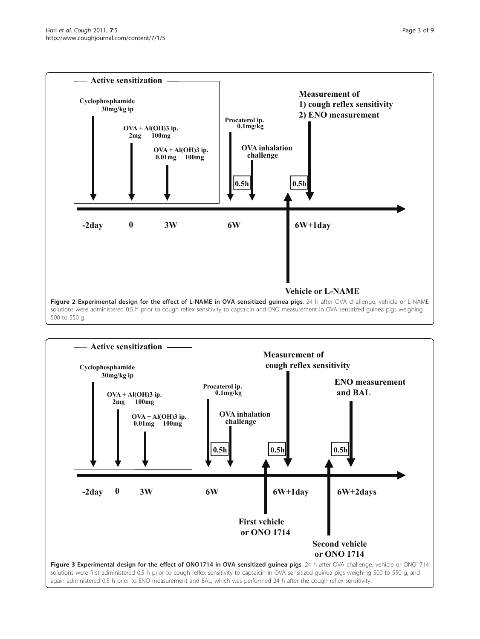<span id="page-3-0"></span>

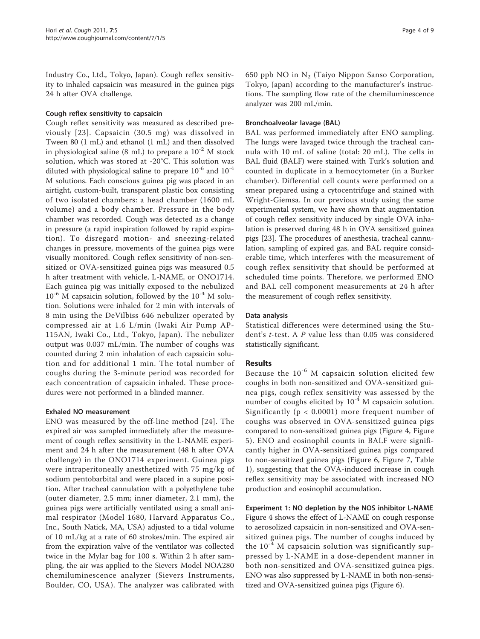Industry Co., Ltd., Tokyo, Japan). Cough reflex sensitivity to inhaled capsaicin was measured in the guinea pigs 24 h after OVA challenge.

#### Cough reflex sensitivity to capsaicin

Cough reflex sensitivity was measured as described previously [[23](#page-9-0)]. Capsaicin (30.5 mg) was dissolved in Tween 80 (1 mL) and ethanol (1 mL) and then dissolved in physiological saline (8 mL) to prepare a  $10^{-2}$  M stock solution, which was stored at -20°C. This solution was diluted with physiological saline to prepare  $10^{-6}$  and  $10^{-4}$ M solutions. Each conscious guinea pig was placed in an airtight, custom-built, transparent plastic box consisting of two isolated chambers: a head chamber (1600 mL volume) and a body chamber. Pressure in the body chamber was recorded. Cough was detected as a change in pressure (a rapid inspiration followed by rapid expiration). To disregard motion- and sneezing-related changes in pressure, movements of the guinea pigs were visually monitored. Cough reflex sensitivity of non-sensitized or OVA-sensitized guinea pigs was measured 0.5 h after treatment with vehicle, L-NAME, or ONO1714. Each guinea pig was initially exposed to the nebulized  $10^{-6}$  M capsaicin solution, followed by the  $10^{-4}$  M solution. Solutions were inhaled for 2 min with intervals of 8 min using the DeVilbiss 646 nebulizer operated by compressed air at 1.6 L/min (Iwaki Air Pump AP-115AN, Iwaki Co., Ltd., Tokyo, Japan). The nebulizer output was 0.037 mL/min. The number of coughs was counted during 2 min inhalation of each capsaicin solution and for additional 1 min. The total number of coughs during the 3-minute period was recorded for each concentration of capsaicin inhaled. These procedures were not performed in a blinded manner.

# Exhaled NO measurement

ENO was measured by the off-line method [[24](#page-9-0)]. The expired air was sampled immediately after the measurement of cough reflex sensitivity in the L-NAME experiment and 24 h after the measurement (48 h after OVA challenge) in the ONO1714 experiment. Guinea pigs were intraperitoneally anesthetized with 75 mg/kg of sodium pentobarbital and were placed in a supine position. After tracheal cannulation with a polyethylene tube (outer diameter, 2.5 mm; inner diameter, 2.1 mm), the guinea pigs were artificially ventilated using a small animal respirator (Model 1680, Harvard Apparatus Co., Inc., South Natick, MA, USA) adjusted to a tidal volume of 10 mL/kg at a rate of 60 strokes/min. The expired air from the expiration valve of the ventilator was collected twice in the Mylar bag for 100 s. Within 2 h after sampling, the air was applied to the Sievers Model NOA280 chemiluminescence analyzer (Sievers Instruments, Boulder, CO, USA). The analyzer was calibrated with 650 ppb NO in  $N_2$  (Taiyo Nippon Sanso Corporation, Tokyo, Japan) according to the manufacturer's instructions. The sampling flow rate of the chemiluminescence analyzer was 200 mL/min.

#### Bronchoalveolar lavage (BAL)

BAL was performed immediately after ENO sampling. The lungs were lavaged twice through the tracheal cannula with 10 mL of saline (total: 20 mL). The cells in BAL fluid (BALF) were stained with Turk's solution and counted in duplicate in a hemocytometer (in a Burker chamber). Differential cell counts were performed on a smear prepared using a cytocentrifuge and stained with Wright-Giemsa. In our previous study using the same experimental system, we have shown that augmentation of cough reflex sensitivity induced by single OVA inhalation is preserved during 48 h in OVA sensitized guinea pigs [[23\]](#page-9-0). The procedures of anesthesia, tracheal cannulation, sampling of expired gas, and BAL require considerable time, which interferes with the measurement of cough reflex sensitivity that should be performed at scheduled time points. Therefore, we performed ENO and BAL cell component measurements at 24 h after the measurement of cough reflex sensitivity.

#### Data analysis

Statistical differences were determined using the Student's t-test. A P value less than 0.05 was considered statistically significant.

# Results

Because the  $10^{-6}$  M capsaicin solution elicited few coughs in both non-sensitized and OVA-sensitized guinea pigs, cough reflex sensitivity was assessed by the number of coughs elicited by 10-4 M capsaicin solution. Significantly (p < 0.0001) more frequent number of coughs was observed in OVA-sensitized guinea pigs compared to non-sensitized guinea pigs (Figure [4,](#page-5-0) Figure [5\)](#page-5-0). ENO and eosinophil counts in BALF were significantly higher in OVA-sensitized guinea pigs compared to non-sensitized guinea pigs (Figure [6](#page-6-0), Figure [7,](#page-7-0) Table [1\)](#page-7-0), suggesting that the OVA-induced increase in cough reflex sensitivity may be associated with increased NO production and eosinophil accumulation.

Experiment 1: NO depletion by the NOS inhibitor L-NAME Figure [4](#page-5-0) shows the effect of L-NAME on cough response to aerosolized capsaicin in non-sensitized and OVA-sensitized guinea pigs. The number of coughs induced by the  $10^{-4}$  M capsaicin solution was significantly suppressed by L-NAME in a dose-dependent manner in both non-sensitized and OVA-sensitized guinea pigs. ENO was also suppressed by L-NAME in both non-sensitized and OVA-sensitized guinea pigs (Figure [6](#page-6-0)).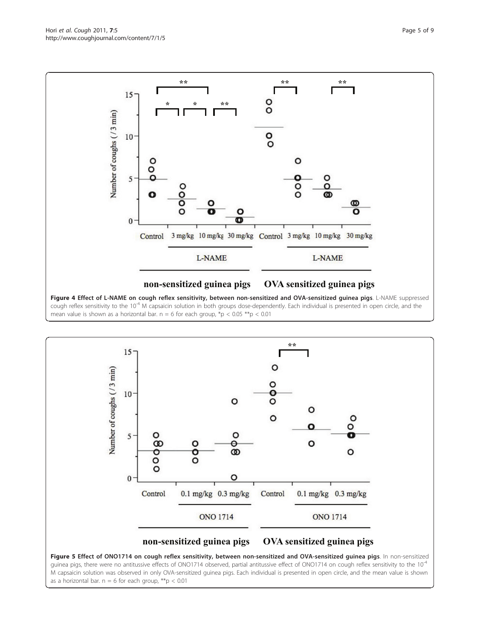<span id="page-5-0"></span>

Figure 4 Effect of L-NAME on cough reflex sensitivity, between non-sensitized and OVA-sensitized guinea pigs. L-NAME suppressed cough reflex sensitivity to the 10<sup>-4</sup> M capsaicin solution in both groups dose-dependently. Each individual is presented in open circle, and the mean value is shown as a horizontal bar. n = 6 for each group,  $*p < 0.05 **p < 0.01$ 



guinea pigs, there were no antitussive effects of ONO1714 observed, partial antitussive effect of ONO1714 on cough reflex sensitivity to the  $10^{-4}$ M capsaicin solution was observed in only OVA-sensitized guinea pigs. Each individual is presented in open circle, and the mean value is shown as a horizontal bar.  $n = 6$  for each group, \*\*p < 0.01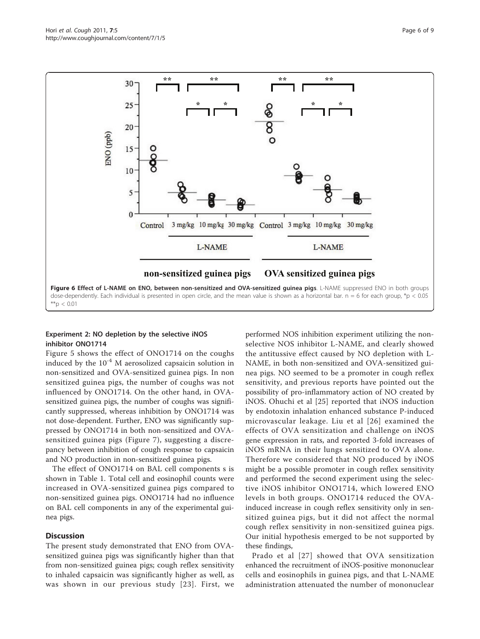<span id="page-6-0"></span>

# Experiment 2: NO depletion by the selective iNOS inhibitor ONO1714

Figure [5](#page-5-0) shows the effect of ONO1714 on the coughs induced by the  $10^{-4}$  M aerosolized capsaicin solution in non-sensitized and OVA-sensitized guinea pigs. In non sensitized guinea pigs, the number of coughs was not influenced by ONO1714. On the other hand, in OVAsensitized guinea pigs, the number of coughs was significantly suppressed, whereas inhibition by ONO1714 was not dose-dependent. Further, ENO was significantly suppressed by ONO1714 in both non-sensitized and OVAsensitized guinea pigs (Figure [7\)](#page-7-0), suggesting a discrepancy between inhibition of cough response to capsaicin and NO production in non-sensitized guinea pigs.

The effect of ONO1714 on BAL cell components s is shown in Table [1](#page-7-0). Total cell and eosinophil counts were increased in OVA-sensitized guinea pigs compared to non-sensitized guinea pigs. ONO1714 had no influence on BAL cell components in any of the experimental guinea pigs.

#### **Discussion**

The present study demonstrated that ENO from OVAsensitized guinea pigs was significantly higher than that from non-sensitized guinea pigs; cough reflex sensitivity to inhaled capsaicin was significantly higher as well, as was shown in our previous study [[23\]](#page-9-0). First, we

performed NOS inhibition experiment utilizing the nonselective NOS inhibitor L-NAME, and clearly showed the antitussive effect caused by NO depletion with L-NAME, in both non-sensitized and OVA-sensitized guinea pigs. NO seemed to be a promoter in cough reflex sensitivity, and previous reports have pointed out the possibility of pro-inflammatory action of NO created by iNOS. Ohuchi et al [\[25\]](#page-9-0) reported that iNOS induction by endotoxin inhalation enhanced substance P-induced microvascular leakage. Liu et al [[26\]](#page-9-0) examined the effects of OVA sensitization and challenge on iNOS gene expression in rats, and reported 3-fold increases of iNOS mRNA in their lungs sensitized to OVA alone. Therefore we considered that NO produced by iNOS might be a possible promoter in cough reflex sensitivity and performed the second experiment using the selective iNOS inhibitor ONO1714, which lowered ENO levels in both groups. ONO1714 reduced the OVAinduced increase in cough reflex sensitivity only in sensitized guinea pigs, but it did not affect the normal cough reflex sensitivity in non-sensitized guinea pigs. Our initial hypothesis emerged to be not supported by these findings,

Prado et al [[27\]](#page-9-0) showed that OVA sensitization enhanced the recruitment of iNOS-positive mononuclear cells and eosinophils in guinea pigs, and that L-NAME administration attenuated the number of mononuclear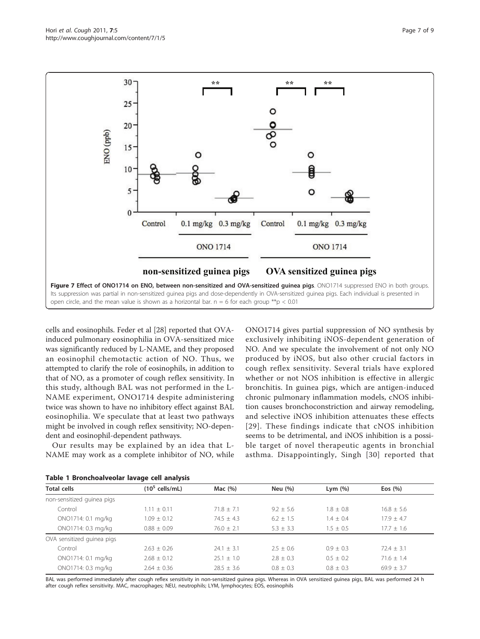<span id="page-7-0"></span>

cells and eosinophils. Feder et al [[28\]](#page-9-0) reported that OVAinduced pulmonary eosinophilia in OVA-sensitized mice was significantly reduced by L-NAME, and they proposed an eosinophil chemotactic action of NO. Thus, we attempted to clarify the role of eosinophils, in addition to that of NO, as a promoter of cough reflex sensitivity. In this study, although BAL was not performed in the L-NAME experiment, ONO1714 despite administering twice was shown to have no inhibitory effect against BAL eosinophilia. We speculate that at least two pathways might be involved in cough reflex sensitivity; NO-dependent and eosinophil-dependent pathways.

Our results may be explained by an idea that L-NAME may work as a complete inhibitor of NO, while

ONO1714 gives partial suppression of NO synthesis by exclusively inhibiting iNOS-dependent generation of NO. And we speculate the involvement of not only NO produced by iNOS, but also other crucial factors in cough reflex sensitivity. Several trials have explored whether or not NOS inhibition is effective in allergic bronchitis. In guinea pigs, which are antigen-induced chronic pulmonary inflammation models, cNOS inhibition causes bronchoconstriction and airway remodeling, and selective iNOS inhibition attenuates these effects [[29](#page-9-0)]. These findings indicate that cNOS inhibition seems to be detrimental, and iNOS inhibition is a possible target of novel therapeutic agents in bronchial asthma. Disappointingly, Singh [[30\]](#page-9-0) reported that

|                            | Table T Druittioalveolar lavage tell allalysis |                |               |               |                |  |  |
|----------------------------|------------------------------------------------|----------------|---------------|---------------|----------------|--|--|
| <b>Total cells</b>         | $(10^5 \text{ cells/mL})$                      | Mac $(%)$      | Neu (%)       | Lym $(\%)$    | Eos $(\% )$    |  |  |
| non-sensitized guinea pigs |                                                |                |               |               |                |  |  |
| Control                    | $1.11 \pm 0.11$                                | $71.8 + 7.1$   | $9.2 + 5.6$   | $1.8 \pm 0.8$ | $16.8 \pm 5.6$ |  |  |
| ONO1714: 0.1 mg/kg         | $1.09 \pm 0.12$                                | $74.5 + 4.3$   | $6.2 + 1.5$   | $1.4 + 0.4$   | $17.9 + 4.7$   |  |  |
| ONO1714: 0.3 mg/kg         | $0.88 \pm 0.09$                                | $76.0 \pm 2.1$ | $5.3 + 3.3$   | $1.5 \pm 0.5$ | $17.7 + 1.6$   |  |  |
| OVA sensitized guinea pigs |                                                |                |               |               |                |  |  |
| Control                    | $2.63 + 0.26$                                  | $24.1 + 3.1$   | $2.5 + 0.6$   | $0.9 + 0.3$   | $72.4 + 3.1$   |  |  |
| ONO1714: 0.1 mg/kg         | $2.68 \pm 0.12$                                | $25.1 \pm 1.0$ | $2.8 \pm 0.3$ | $0.5 \pm 0.2$ | $71.6 + 1.4$   |  |  |
| ONO1714: 0.3 mg/kg         | $2.64 + 0.36$                                  | $28.5 + 3.6$   | $0.8 + 0.3$   | $0.8 + 0.3$   | $69.9 + 3.7$   |  |  |

| Table 1 Bronchoalveolar lavage cell analysis |
|----------------------------------------------|
|----------------------------------------------|

BAL was performed immediately after cough reflex sensitivity in non-sensitized guinea pigs. Whereas in OVA sensitized guinea pigs, BAL was performed 24 h after cough reflex sensitivity. MAC, macrophages; NEU, neutrophils; LYM, lymphocytes; EOS, eosinophils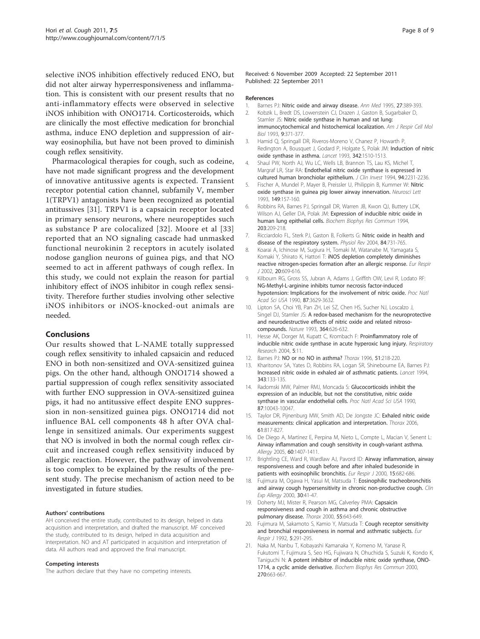<span id="page-8-0"></span>selective iNOS inhibition effectively reduced ENO, but did not alter airway hyperresponsiveness and inflammation. This is consistent with our present results that no anti-inflammatory effects were observed in selective iNOS inhibition with ONO1714. Corticosteroids, which are clinically the most effective medication for bronchial asthma, induce ENO depletion and suppression of airway eosinophilia, but have not been proved to diminish cough reflex sensitivity.

Pharmacological therapies for cough, such as codeine, have not made significant progress and the development of innovative antitussive agents is expected. Transient receptor potential cation channel, subfamily V, member 1(TRPV1) antagonists have been recognized as potential antitussives [\[31](#page-9-0)]. TRPV1 is a capsaicin receptor located in primary sensory neurons, where neuropeptides such as substance P are colocalized [[32](#page-9-0)]. Moore et al [[33](#page-9-0)] reported that an NO signaling cascade had unmasked functional neurokinin 2 receptors in acutely isolated nodose ganglion neurons of guinea pigs, and that NO seemed to act in afferent pathways of cough reflex. In this study, we could not explain the reason for partial inhibitory effect of iNOS inhibitor in cough reflex sensitivity. Therefore further studies involving other selective iNOS inhibitors or iNOS-knocked-out animals are needed.

# Conclusions

Our results showed that L-NAME totally suppressed cough reflex sensitivity to inhaled capsaicin and reduced ENO in both non-sensitized and OVA-sensitized guinea pigs. On the other hand, although ONO1714 showed a partial suppression of cough reflex sensitivity associated with further ENO suppression in OVA-sensitized guinea pigs, it had no antitussive effect despite ENO suppression in non-sensitized guinea pigs. ONO1714 did not influence BAL cell components 48 h after OVA challenge in sensitized animals. Our experiments suggest that NO is involved in both the normal cough reflex circuit and increased cough reflex sensitivity induced by allergic reaction. However, the pathway of involvement is too complex to be explained by the results of the present study. The precise mechanism of action need to be investigated in future studies.

#### Authors' contributions

AH conceived the entire study, contributed to its design, helped in data acquisition and interpretation, and drafted the manuscript. MF conceived the study, contributed to its design, helped in data acquisition and interpretation. NO and AT participated in acquisition and interpretation of data. All authors read and approved the final manuscript.

#### Competing interests

The authors declare that they have no competing interests.

Received: 6 November 2009 Accepted: 22 September 2011 Published: 22 September 2011

#### References

- 1. Barnes PJ: [Nitric oxide and airway disease.](http://www.ncbi.nlm.nih.gov/pubmed/7546629?dopt=Abstract) Ann Med 1995, 27:389-393.
- 2. Kobzik L, Bredt DS, Lowenstein CJ, Drazen J, Gaston B, Sugarbaker D, Stamler JS: [Nitric oxide synthase in human and rat lung:](http://www.ncbi.nlm.nih.gov/pubmed/7691109?dopt=Abstract) [immunocytochemical and histochemical localization.](http://www.ncbi.nlm.nih.gov/pubmed/7691109?dopt=Abstract) Am J Respir Cell Mol Biol 1993, 9:371-377.
- 3. Hamid Q, Springall DR, Riveros-Moreno V, Chanez P, Howarth P, Redington A, Bousquet J, Godard P, Holgate S, Polak JM: [Induction of nitric](http://www.ncbi.nlm.nih.gov/pubmed/7504773?dopt=Abstract) [oxide synthase in asthma.](http://www.ncbi.nlm.nih.gov/pubmed/7504773?dopt=Abstract) Lancet 1993, 342:1510-1513.
- 4. Shaul PW, North AJ, Wu LC, Wells LB, Brannon TS, Lau KS, Michel T, Margraf LR, Star RA: [Endothelial nitric oxide synthase is expressed in](http://www.ncbi.nlm.nih.gov/pubmed/7527428?dopt=Abstract) [cultured human bronchiolar epithelium.](http://www.ncbi.nlm.nih.gov/pubmed/7527428?dopt=Abstract) J Clin Invest 1994, 94:2231-2236.
- 5. Fischer A, Mundel P, Mayer B, Preissler U, Philippin B, Kummer W: [Nitric](http://www.ncbi.nlm.nih.gov/pubmed/7682679?dopt=Abstract) oxide synthase in quinea pig lower airway innervation. Neurosci Lett 1993, 149:157-160.
- 6. Robbins RA, Barnes PJ, Springall DR, Warren JB, Kwon QJ, Buttery LDK, Wilson AJ, Geller DA, Polak JM: [Expression of inducible nitric oxide in](http://www.ncbi.nlm.nih.gov/pubmed/7521161?dopt=Abstract) [human lung epithelial cells.](http://www.ncbi.nlm.nih.gov/pubmed/7521161?dopt=Abstract) Biochem Biophys Res Commun 1994, 203:209-218.
- 7. Ricciardolo FL, Sterk PJ, Gaston B, Folkerts G: [Nitric oxide in health and](http://www.ncbi.nlm.nih.gov/pubmed/15269335?dopt=Abstract) [disease of the respiratory system.](http://www.ncbi.nlm.nih.gov/pubmed/15269335?dopt=Abstract) Physiol Rev 2004, 84:731-765.
- 8. Koarai A, Ichinose M, Sugiura H, Tomaki M, Watanabe M, Yamagata S, Komaki Y, Shirato K, Hattori T: [iNOS depletion completely diminishes](http://www.ncbi.nlm.nih.gov/pubmed/12358336?dopt=Abstract) [reactive nitrogen-species formation after an allergic response.](http://www.ncbi.nlm.nih.gov/pubmed/12358336?dopt=Abstract) Eur Respir J 2002, 20:609-616.
- 9. Kilbourn RG, Gross SS, Jubran A, Adams J, Griffith OW, Levi R, Lodato RF: [NG-Methyl-L-arginine inhibits tumor necrosis factor-induced](http://www.ncbi.nlm.nih.gov/pubmed/2333306?dopt=Abstract) [hypotension: Implications for the involvement of nitric oxide.](http://www.ncbi.nlm.nih.gov/pubmed/2333306?dopt=Abstract) Proc Natl Acad Sci USA 1990, 87:3629-3632.
- 10. Lipton SA, Choi YB, Pan ZH, Lei SZ, Chen HS, Sucher NJ, Loscalzo J, Singel DJ, Stamler JS: [A redox-based mechanism for the neuroprotective](http://www.ncbi.nlm.nih.gov/pubmed/8394509?dopt=Abstract) [and neurodestructive effects of nitric oxide and related nitroso](http://www.ncbi.nlm.nih.gov/pubmed/8394509?dopt=Abstract)[compounds.](http://www.ncbi.nlm.nih.gov/pubmed/8394509?dopt=Abstract) Nature 1993, 364:626-632.
- 11. Hesse AK, Dorger M, Kupatt C, Krombach F: [Proinflammatory role of](http://www.ncbi.nlm.nih.gov/pubmed/15377396?dopt=Abstract) [inducible nitric oxide synthase in acute hyperoxic lung injury.](http://www.ncbi.nlm.nih.gov/pubmed/15377396?dopt=Abstract) Respiratory Research 2004, 5:11.
- 12. Barnes PJ: [NO or no NO in asthma?](http://www.ncbi.nlm.nih.gov/pubmed/8711662?dopt=Abstract) Thorax 1996, 51:218-220.
- 13. Kharitonov SA, Yates D, Robbins RA, Logan SR, Shinebourne EA, Barnes PJ: [Increased nitric oxide in exhaled air of asthmatic patients.](http://www.ncbi.nlm.nih.gov/pubmed/7904001?dopt=Abstract) Lancet 1994, 343:133-135.
- 14. Radomski MW, Palmer RMJ, Moncada S: [Glucocorticoids inhibit the](http://www.ncbi.nlm.nih.gov/pubmed/1702214?dopt=Abstract) [expression of an inducible, but not the constitutive, nitric oxide](http://www.ncbi.nlm.nih.gov/pubmed/1702214?dopt=Abstract) [synthase in vascular endothelial cells.](http://www.ncbi.nlm.nih.gov/pubmed/1702214?dopt=Abstract) Proc Natl Acad Sci USA 1990, 87:10043-10047.
- 15. Taylor DR, Pijnenburg MW, Smith AD, De Jongste JC: [Exhaled nitric oxide](http://www.ncbi.nlm.nih.gov/pubmed/16936238?dopt=Abstract) [measurements: clinical application and interpretation.](http://www.ncbi.nlm.nih.gov/pubmed/16936238?dopt=Abstract) Thorax 2006, 61:817-827.
- 16. De Diego A, Martinez E, Perpina M, Nieto L, Compte L, Macian V, Senent L: [Airway inflammation and cough sensitivity in cough-variant asthma.](http://www.ncbi.nlm.nih.gov/pubmed/16197473?dopt=Abstract) Allergy 2005, 60:1407-1411.
- 17. Brightling CE, Ward R, Wardlaw AJ, Pavord ID: [Airway inflammation, airway](http://www.ncbi.nlm.nih.gov/pubmed/10780759?dopt=Abstract) [responsiveness and cough before and after inhaled budesonide in](http://www.ncbi.nlm.nih.gov/pubmed/10780759?dopt=Abstract) [patients with eosinophilic bronchitis.](http://www.ncbi.nlm.nih.gov/pubmed/10780759?dopt=Abstract) Eur Respir J 2000, 15:682-686.
- 18. Fujimura M, Ogawa H, Yasui M, Matsuda T: [Eosinophilic tracheobronchitis](http://www.ncbi.nlm.nih.gov/pubmed/10606929?dopt=Abstract) [and airway cough hypersensitivity in chronic non-productive cough.](http://www.ncbi.nlm.nih.gov/pubmed/10606929?dopt=Abstract) Clin Exp Allergy 2000, 30:41-47.
- 19. Doherty MJ, Mister R, Pearson MG, Calverley PMA: [Capsaicin](http://www.ncbi.nlm.nih.gov/pubmed/10899239?dopt=Abstract) [responsiveness and cough in asthma and chronic obstructive](http://www.ncbi.nlm.nih.gov/pubmed/10899239?dopt=Abstract) [pulmonary disease.](http://www.ncbi.nlm.nih.gov/pubmed/10899239?dopt=Abstract) Thorax 2000, 55:643-649.
- 20. Fujimura M, Sakamoto S, Kamio Y, Matsuda T: [Cough receptor sensitivity](http://www.ncbi.nlm.nih.gov/pubmed/1572440?dopt=Abstract) [and bronchial responsiveness in normal and asthmatic subjects.](http://www.ncbi.nlm.nih.gov/pubmed/1572440?dopt=Abstract) Eur Respir J 1992, 5:291-295.
- 21. Naka M, Nanbu T, Kobayashi Kamanaka Y, Komeno M, Yanase R, Fukutomi T, Fujimura S, Seo HG, Fujiwara N, Ohuchida S, Suzuki K, Kondo K, Taniguchi N: [A potent inhibitor of inducible nitric oxide synthase, ONO-](http://www.ncbi.nlm.nih.gov/pubmed/10753680?dopt=Abstract)[1714, a cyclic amide derivative.](http://www.ncbi.nlm.nih.gov/pubmed/10753680?dopt=Abstract) Biochem Biophys Res Commun 2000, 270:663-667.